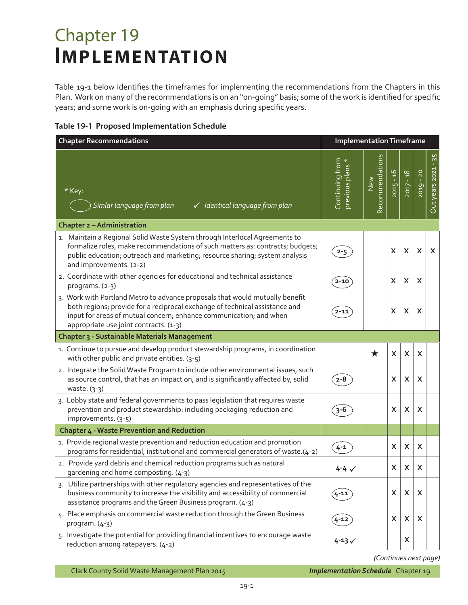## Chapter 19 **IMPLEMENTATION**

Table 19-1 below identifies the timeframes for implementing the recommendations from the Chapters in this Plan. Work on many of the recommendations is on an "on-going" basis; some of the work is identified for specific years; and some work is on-going with an emphasis during specific years.

|  | Table 19-1 Proposed Implementation Schedule |  |
|--|---------------------------------------------|--|
|  |                                             |  |

| <b>Chapter Recommendations</b>                                                                                                                                                                                                                                              | <b>Implementation Timeframe</b>   |                        |             |                           |                           |                         |
|-----------------------------------------------------------------------------------------------------------------------------------------------------------------------------------------------------------------------------------------------------------------------------|-----------------------------------|------------------------|-------------|---------------------------|---------------------------|-------------------------|
| * Key:<br>Simlar language from plan<br>$\checkmark$ Identical language from plan                                                                                                                                                                                            | Continuing from<br>previous plans | Recommendations<br>New | $2015 - 16$ | $2017 - 18$               | 2019 - 20                 | $-35$<br>Out years 2021 |
| <b>Chapter 2 - Administration</b>                                                                                                                                                                                                                                           |                                   |                        |             |                           |                           |                         |
| 1. Maintain a Regional Solid Waste System through Interlocal Agreements to<br>formalize roles, make recommendations of such matters as: contracts; budgets;<br>public education; outreach and marketing; resource sharing; system analysis<br>and improvements. (2-2)       | $2 - 5$                           |                        | X           | $\boldsymbol{\mathsf{X}}$ | X                         | X                       |
| 2. Coordinate with other agencies for educational and technical assistance<br>programs. (2-3)                                                                                                                                                                               | 2-10                              |                        | X           | X                         | X                         |                         |
| 3. Work with Portland Metro to advance proposals that would mutually benefit<br>both regions; provide for a reciprocal exchange of technical assistance and<br>input for areas of mutual concern; enhance communication; and when<br>appropriate use joint contracts. (1-3) | 2-11                              |                        | X           | $\boldsymbol{\mathsf{X}}$ | X                         |                         |
| <b>Chapter 3 - Sustainable Materials Management</b>                                                                                                                                                                                                                         |                                   |                        |             |                           |                           |                         |
| 1. Continue to pursue and develop product stewardship programs, in coordination<br>with other public and private entities. (3-5)                                                                                                                                            |                                   | $\bigstar$             | X           | X                         | $\boldsymbol{\mathsf{X}}$ |                         |
| 2. Integrate the Solid Waste Program to include other environmental issues, such<br>as source control, that has an impact on, and is significantly affected by, solid<br>waste. (3-3)                                                                                       | $2 - 8$                           |                        | X           | X                         | X                         |                         |
| 3. Lobby state and federal governments to pass legislation that requires waste<br>prevention and product stewardship: including packaging reduction and<br>improvements. (3-5)                                                                                              | 3-6                               |                        | X           | X                         | X                         |                         |
| <b>Chapter 4 - Waste Prevention and Reduction</b>                                                                                                                                                                                                                           |                                   |                        |             |                           |                           |                         |
| 1. Provide regional waste prevention and reduction education and promotion<br>programs for residential, institutional and commercial generators of waste.(4-2)                                                                                                              | $4 - 1$                           |                        | X           | $\pmb{\times}$            | X                         |                         |
| 2. Provide yard debris and chemical reduction programs such as natural<br>gardening and home composting. (4-3)                                                                                                                                                              | $4 - 4 \checkmark$                |                        | X           | X                         | X                         |                         |
| 3. Utilize partnerships with other regulatory agencies and representatives of the<br>business community to increase the visibility and accessibility of commercial<br>assistance programs and the Green Business program. (4-3)                                             |                                   |                        | X           | X                         | X.                        |                         |
| 4. Place emphasis on commercial waste reduction through the Green Business<br>program. $(4-3)$                                                                                                                                                                              | $4 - 12$                          |                        | X.          | X                         | X                         |                         |
| 5. Investigate the potential for providing financial incentives to encourage waste<br>reduction among ratepayers. (4-2)                                                                                                                                                     | $4 - 13$                          |                        |             | X.                        |                           |                         |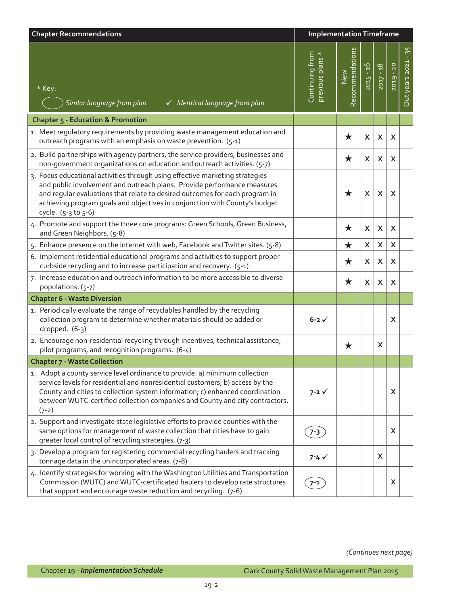| <b>Chapter Recommendations</b>                                                                                                                                                                                                                                                                                                              | <b>Implementation Timeframe</b>     |                        |             |                           |           |                     |
|---------------------------------------------------------------------------------------------------------------------------------------------------------------------------------------------------------------------------------------------------------------------------------------------------------------------------------------------|-------------------------------------|------------------------|-------------|---------------------------|-----------|---------------------|
| * Key:<br>Simlar language from plan<br>$\checkmark$ Identical language from plan                                                                                                                                                                                                                                                            | Continuing from<br>previous plans * | Recommendations<br>New | $2015 - 16$ | $2017 - 18$               | 2019 - 20 | Out years 2021 - 35 |
| Chapter 5 - Education & Promotion                                                                                                                                                                                                                                                                                                           |                                     |                        |             |                           |           |                     |
| 1. Meet regulatory requirements by providing waste management education and<br>outreach programs with an emphasis on waste prevention. (5-1)                                                                                                                                                                                                |                                     | ★                      | X           | X                         | X         |                     |
| 2. Build partnerships with agency partners, the service providers, businesses and<br>non-government organizations on education and outreach activities. (5-7)                                                                                                                                                                               |                                     | ★                      | X           | X                         | X         |                     |
| 3. Focus educational activities through using effective marketing strategies<br>and public involvement and outreach plans. Provide performance measures<br>and regular evaluations that relate to desired outcomes for each program in<br>achieving program goals and objectives in conjunction with County's budget<br>cycle. (5-3 to 5-6) |                                     | ★                      | X           | X                         | X         |                     |
| 4. Promote and support the three core programs: Green Schools, Green Business,<br>and Green Neighbors. (5-8)                                                                                                                                                                                                                                |                                     | ★                      | X           | X                         | X         |                     |
| 5. Enhance presence on the internet with web, Facebook and Twitter sites. (5-8)                                                                                                                                                                                                                                                             |                                     | ★                      | X           | X                         | X         |                     |
| 6. Implement residential educational programs and activities to support proper<br>curbside recycling and to increase participation and recovery. (5-1)                                                                                                                                                                                      |                                     | $\bigstar$             | X           | X                         | X         |                     |
| 7. Increase education and outreach information to be more accessible to diverse<br>populations. (5-7)                                                                                                                                                                                                                                       |                                     | $\bigstar$             | X           | $\boldsymbol{\mathsf{X}}$ | X         |                     |
| <b>Chapter 6 - Waste Diversion</b>                                                                                                                                                                                                                                                                                                          |                                     |                        |             |                           |           |                     |
| 1. Periodically evaluate the range of recyclables handled by the recycling<br>collection program to determine whether materials should be added or<br>dropped. (6-3)                                                                                                                                                                        | $6-2 \checkmark$                    |                        |             |                           | X         |                     |
| 2. Encourage non-residential recycling through incentives, technical assistance,<br>pilot programs, and recognition programs. (6-4)                                                                                                                                                                                                         |                                     | ★                      |             | X                         |           |                     |
| <b>Chapter 7 - Waste Collection</b>                                                                                                                                                                                                                                                                                                         |                                     |                        |             |                           |           |                     |
| 1. Adopt a county service level ordinance to provide: a) minimum collection<br>service levels for residential and nonresidential customers; b) access by the<br>County and cities to collection system information; c) enhanced coordination<br>between WUTC-certified collection companies and County and city contractors.<br>$(7-2)$     | $7 - 2 \sqrt{ }$                    |                        |             |                           | X         |                     |
| 2. Support and investigate state legislative efforts to provide counties with the<br>same options for management of waste collection that cities have to gain<br>greater local control of recycling strategies. (7-3)                                                                                                                       | $7 - 3$                             |                        |             |                           | X         |                     |
| 3. Develop a program for registering commercial recycling haulers and tracking<br>tonnage data in the unincorporated areas. (7-8)                                                                                                                                                                                                           | $7 - 4 \checkmark$                  |                        |             | X                         |           |                     |
| 4. Identify strategies for working with the Washington Utilities and Transportation<br>Commission (WUTC) and WUTC-certificated haulers to develop rate structures<br>that support and encourage waste reduction and recycling. (7-6)                                                                                                        | 7-1                                 |                        |             |                           | X         |                     |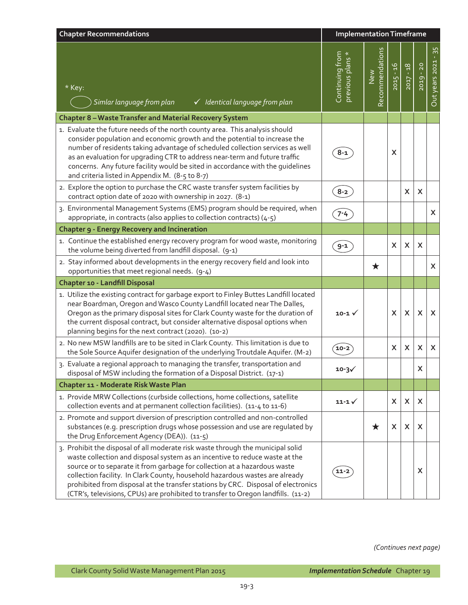| <b>Chapter Recommendations</b>                                                                                                                                                                                                                                                                                                                                                                                                                                                                        | <b>Implementation Timeframe</b>   |                        |              |                |           |                         |
|-------------------------------------------------------------------------------------------------------------------------------------------------------------------------------------------------------------------------------------------------------------------------------------------------------------------------------------------------------------------------------------------------------------------------------------------------------------------------------------------------------|-----------------------------------|------------------------|--------------|----------------|-----------|-------------------------|
| $*$ Key:<br>Simlar language from plan<br>$\checkmark$ Identical language from plan                                                                                                                                                                                                                                                                                                                                                                                                                    | Continuing from<br>previous plans | Recommendations<br>New | $2015 - 16$  | $2017 - 18$    | 2019 - 20 | $-35$<br>Out years 2021 |
| Chapter 8 - Waste Transfer and Material Recovery System                                                                                                                                                                                                                                                                                                                                                                                                                                               |                                   |                        |              |                |           |                         |
| 1. Evaluate the future needs of the north county area. This analysis should<br>consider population and economic growth and the potential to increase the<br>number of residents taking advantage of scheduled collection services as well<br>as an evaluation for upgrading CTR to address near-term and future traffic<br>concerns. Any future facility would be sited in accordance with the quidelines<br>and criteria listed in Appendix M. (8-5 to 8-7)                                          | $8 - 1$                           |                        | X            |                |           |                         |
| 2. Explore the option to purchase the CRC waste transfer system facilities by<br>contract option date of 2020 with ownership in 2027. (8-1)                                                                                                                                                                                                                                                                                                                                                           | $8 - 2$                           |                        |              | $\mathsf{x}$   | X         |                         |
| 3. Environmental Management Systems (EMS) program should be required, when<br>appropriate, in contracts (also applies to collection contracts) (4-5)                                                                                                                                                                                                                                                                                                                                                  | $7 - 4$                           |                        |              |                |           | X                       |
| <b>Chapter 9 - Energy Recovery and Incineration</b>                                                                                                                                                                                                                                                                                                                                                                                                                                                   |                                   |                        |              |                |           |                         |
| 1. Continue the established energy recovery program for wood waste, monitoring<br>the volume being diverted from landfill disposal. (9-1)                                                                                                                                                                                                                                                                                                                                                             | $9 - 1$                           |                        | X            | X              | X         |                         |
| 2. Stay informed about developments in the energy recovery field and look into<br>opportunities that meet regional needs. (9-4)                                                                                                                                                                                                                                                                                                                                                                       |                                   | $\bigstar$             |              |                |           | X                       |
| Chapter 10 - Landfill Disposal                                                                                                                                                                                                                                                                                                                                                                                                                                                                        |                                   |                        |              |                |           |                         |
| 1. Utilize the existing contract for garbage export to Finley Buttes Landfill located<br>near Boardman, Oregon and Wasco County Landfill located near The Dalles,<br>Oregon as the primary disposal sites for Clark County waste for the duration of<br>the current disposal contract, but consider alternative disposal options when<br>planning begins for the next contract (2020). (10-2)                                                                                                         | 10-1 $\checkmark$                 |                        | X            | X              | X         | X                       |
| 2. No new MSW landfills are to be sited in Clark County. This limitation is due to<br>the Sole Source Aquifer designation of the underlying Troutdale Aquifer. (M-2)                                                                                                                                                                                                                                                                                                                                  | $10-2$                            |                        | X            | $\pmb{\times}$ | X         | X                       |
| 3. Evaluate a regional approach to managing the transfer, transportation and<br>disposal of MSW including the formation of a Disposal District. (17-1)                                                                                                                                                                                                                                                                                                                                                | $10 - 3$                          |                        |              |                | X         |                         |
| Chapter 11 - Moderate Risk Waste Plan                                                                                                                                                                                                                                                                                                                                                                                                                                                                 |                                   |                        |              |                |           |                         |
| 1. Provide MRW Collections (curbside collections, home collections, satellite<br>collection events and at permanent collection facilities). (11-4 to 11-6)                                                                                                                                                                                                                                                                                                                                            | $11 - 1$                          |                        | $\mathsf{X}$ | X              | X         |                         |
| 2. Promote and support diversion of prescription controlled and non-controlled<br>substances (e.g. prescription drugs whose possession and use are regulated by<br>the Drug Enforcement Agency (DEA)). (11-5)                                                                                                                                                                                                                                                                                         |                                   | ★                      | X            | X              | X         |                         |
| 3. Prohibit the disposal of all moderate risk waste through the municipal solid<br>waste collection and disposal system as an incentive to reduce waste at the<br>source or to separate it from garbage for collection at a hazardous waste<br>collection facility. In Clark County, household hazardous wastes are already<br>prohibited from disposal at the transfer stations by CRC. Disposal of electronics<br>(CTR's, televisions, CPUs) are prohibited to transfer to Oregon landfills. (11-2) | $11 - 2$                          |                        |              |                | X         |                         |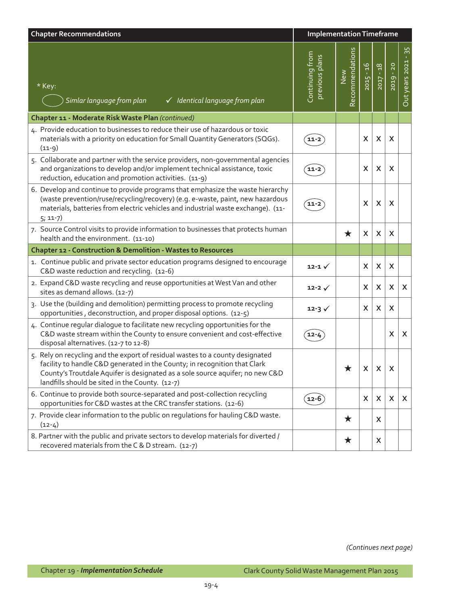| <b>Chapter Recommendations</b>                                                                                                                                                                                                                                                                 |                                   | <b>Implementation Timeframe</b> |              |              |                           |                         |
|------------------------------------------------------------------------------------------------------------------------------------------------------------------------------------------------------------------------------------------------------------------------------------------------|-----------------------------------|---------------------------------|--------------|--------------|---------------------------|-------------------------|
| * Key:<br>Simlar language from plan<br>$\checkmark$ Identical language from plan                                                                                                                                                                                                               | Continuing from<br>previous plans | Recommendations<br>New          | $2015 - 16$  | $2017 - 18$  | 2019 - 20                 | $-35$<br>Out years 2021 |
| Chapter 11 - Moderate Risk Waste Plan (continued)                                                                                                                                                                                                                                              |                                   |                                 |              |              |                           |                         |
| 4. Provide education to businesses to reduce their use of hazardous or toxic<br>materials with a priority on education for Small Quantity Generators (SQGs).<br>$(11-9)$                                                                                                                       | 11-2                              |                                 | X            | X            | X                         |                         |
| 5. Collaborate and partner with the service providers, non-governmental agencies<br>and organizations to develop and/or implement technical assistance, toxic<br>reduction, education and promotion activities. (11-9)                                                                         | 11-2                              |                                 | X            | X            | X                         |                         |
| 6. Develop and continue to provide programs that emphasize the waste hierarchy<br>(waste prevention/ruse/recycling/recovery) (e.g. e-waste, paint, new hazardous<br>materials, batteries from electric vehicles and industrial waste exchange). (11-<br>$5; 11-7)$                             | 11-2                              |                                 | X            | X            | X                         |                         |
| 7. Source Control visits to provide information to businesses that protects human<br>health and the environment. (11-10)                                                                                                                                                                       |                                   | $\bigstar$                      | X            | X            | X                         |                         |
| <b>Chapter 12 - Construction &amp; Demolition - Wastes to Resources</b>                                                                                                                                                                                                                        |                                   |                                 |              |              |                           |                         |
| 1. Continue public and private sector education programs designed to encourage<br>C&D waste reduction and recycling. (12-6)                                                                                                                                                                    | $12 - 1 \sqrt{ }$                 |                                 | X            | X            | X                         |                         |
| 2. Expand C&D waste recycling and reuse opportunities at West Van and other<br>sites as demand allows. (12-7)                                                                                                                                                                                  | $12 - 2 \checkmark$               |                                 | X            | X            | X                         | X                       |
| 3. Use the (building and demolition) permitting process to promote recycling<br>opportunities, deconstruction, and proper disposal options. (12-5)                                                                                                                                             | $12 - 3 \checkmark$               |                                 | X            | X            | X                         |                         |
| 4. Continue regular dialogue to facilitate new recycling opportunities for the<br>C&D waste stream within the County to ensure convenient and cost-effective<br>disposal alternatives. (12-7 to 12-8)                                                                                          | 12-4                              |                                 |              |              | X                         | X                       |
| 5. Rely on recycling and the export of residual wastes to a county designated<br>facility to handle C&D generated in the County; in recognition that Clark<br>County's Troutdale Aquifer is designated as a sole source aquifer; no new C&D<br>landfills should be sited in the County. (12-7) |                                   |                                 | $\mathsf{X}$ | $\mathsf{X}$ | X                         |                         |
| 6. Continue to provide both source-separated and post-collection recycling<br>opportunities for C&D wastes at the CRC transfer stations. (12-6)                                                                                                                                                | $(12-6)$                          |                                 | X            | $\mathsf{x}$ | $\boldsymbol{\mathsf{X}}$ | $\mathsf{X}$            |
| 7. Provide clear information to the public on regulations for hauling C&D waste.<br>$(12-4)$                                                                                                                                                                                                   |                                   | $\bigstar$                      |              | X            |                           |                         |
| 8. Partner with the public and private sectors to develop materials for diverted /<br>recovered materials from the C & D stream. (12-7)                                                                                                                                                        |                                   | $\bigstar$                      |              | X            |                           |                         |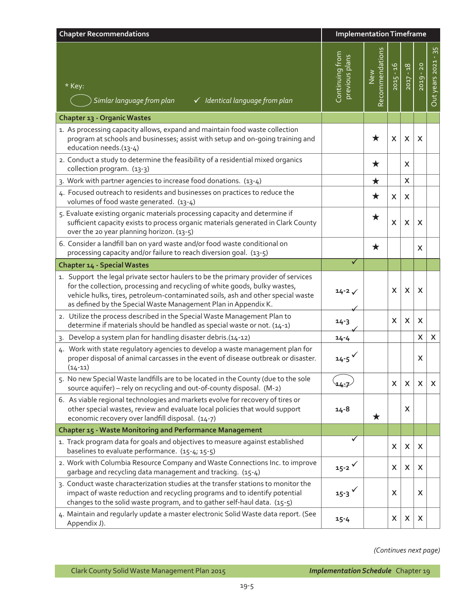| <b>Chapter Recommendations</b>                                                                                                                                                                                                                                                                                        | <b>Implementation Timeframe</b>   |                        |             |                           |                           |                         |
|-----------------------------------------------------------------------------------------------------------------------------------------------------------------------------------------------------------------------------------------------------------------------------------------------------------------------|-----------------------------------|------------------------|-------------|---------------------------|---------------------------|-------------------------|
| * Key:<br>Simlar language from plan<br>$\checkmark$ Identical language from plan                                                                                                                                                                                                                                      | Continuing from<br>previous plans | Recommendations<br>New | $2015 - 16$ | $2017 - 18$               | 2019 - 20                 | $-35$<br>Out years 2021 |
| Chapter 13 - Organic Wastes                                                                                                                                                                                                                                                                                           |                                   |                        |             |                           |                           |                         |
| 1. As processing capacity allows, expand and maintain food waste collection<br>program at schools and businesses; assist with setup and on-going training and<br>education needs.(13-4)                                                                                                                               |                                   | ★                      | X           | X                         | X                         |                         |
| 2. Conduct a study to determine the feasibility of a residential mixed organics<br>collection program. (13-3)                                                                                                                                                                                                         |                                   | $\bigstar$             |             | X                         |                           |                         |
| 3. Work with partner agencies to increase food donations. (13-4)                                                                                                                                                                                                                                                      |                                   | $\bigstar$             |             | X                         |                           |                         |
| 4. Focused outreach to residents and businesses on practices to reduce the<br>volumes of food waste generated. (13-4)                                                                                                                                                                                                 |                                   | $\bigstar$             | X           | X                         |                           |                         |
| 5. Evaluate existing organic materials processing capacity and determine if<br>sufficient capacity exists to process organic materials generated in Clark County<br>over the 20 year planning horizon. (13-5)                                                                                                         |                                   | $\bigstar$             | X           | X                         | X                         |                         |
| 6. Consider a landfill ban on yard waste and/or food waste conditional on<br>processing capacity and/or failure to reach diversion goal. (13-5)                                                                                                                                                                       |                                   | $\bigstar$             |             |                           | X                         |                         |
| <b>Chapter 14 - Special Wastes</b>                                                                                                                                                                                                                                                                                    | ✓                                 |                        |             |                           |                           |                         |
| 1. Support the legal private sector haulers to be the primary provider of services<br>for the collection, processing and recycling of white goods, bulky wastes,<br>vehicle hulks, tires, petroleum-contaminated soils, ash and other special waste<br>as defined by the Special Waste Management Plan in Appendix K. | $14 - 2 \checkmark$               |                        | X           | X                         | X                         |                         |
| 2. Utilize the process described in the Special Waste Management Plan to<br>determine if materials should be handled as special waste or not. (14-1)                                                                                                                                                                  | $14 - 3$                          |                        | X           | X                         | $\boldsymbol{\mathsf{X}}$ |                         |
| 3. Develop a system plan for handling disaster debris.(14-12)                                                                                                                                                                                                                                                         | $14 - 4$                          |                        |             |                           | $\pmb{\times}$            | X                       |
| 4. Work with state regulatory agencies to develop a waste management plan for<br>proper disposal of animal carcasses in the event of disease outbreak or disaster.<br>$(14 - 11)$                                                                                                                                     | $14 - 5$                          |                        |             |                           | X                         |                         |
| 5. No new Special Waste landfills are to be located in the County (due to the sole<br>source aquifer) - rely on recycling and out-of-county disposal. (M-2)                                                                                                                                                           | $14 - 7$                          |                        | X           | X                         | X                         | $\mathsf{X}$            |
| 6. As viable regional technologies and markets evolve for recovery of tires or<br>other special wastes, review and evaluate local policies that would support<br>economic recovery over landfill disposal. (14-7)                                                                                                     | $14 - 8$                          | ★                      |             | X                         |                           |                         |
| Chapter 15 - Waste Monitoring and Performance Management                                                                                                                                                                                                                                                              |                                   |                        |             |                           |                           |                         |
| 1. Track program data for goals and objectives to measure against established<br>baselines to evaluate performance. (15-4; 15-5)                                                                                                                                                                                      | ✓                                 |                        | X           | $\boldsymbol{\mathsf{X}}$ | X                         |                         |
| 2. Work with Columbia Resource Company and Waste Connections Inc. to improve<br>garbage and recycling data management and tracking. (15-4)                                                                                                                                                                            | $15 - 2$ $\checkmark$             |                        | X           | X                         | X                         |                         |
| 3. Conduct waste characterization studies at the transfer stations to monitor the<br>impact of waste reduction and recycling programs and to identify potential<br>changes to the solid waste program, and to gather self-haul data. (15-5)                                                                           | $15 - 3$ $\checkmark$             |                        | X           |                           | X                         |                         |
| 4. Maintain and regularly update a master electronic Solid Waste data report. (See<br>Appendix J).                                                                                                                                                                                                                    | $15 - 4$                          |                        | X           | X                         | X                         |                         |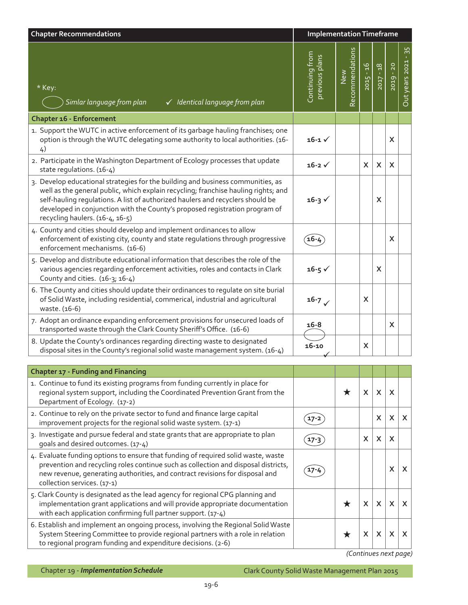| <b>Chapter Recommendations</b>                                                                                                                                                                                                                                                                                                                                            | <b>Implementation Timeframe</b>   |                        |             |             |           |                           |
|---------------------------------------------------------------------------------------------------------------------------------------------------------------------------------------------------------------------------------------------------------------------------------------------------------------------------------------------------------------------------|-----------------------------------|------------------------|-------------|-------------|-----------|---------------------------|
| * Key:<br>Simlar language from plan<br>√ Identical language from plan                                                                                                                                                                                                                                                                                                     | Continuing from<br>previous plans | Recommendations<br>New | $2015 - 16$ | $2017 - 18$ | 2019 - 20 | $-35$<br>Out years 2021   |
| Chapter 16 - Enforcement                                                                                                                                                                                                                                                                                                                                                  |                                   |                        |             |             |           |                           |
| 1. Support the WUTC in active enforcement of its garbage hauling franchises; one<br>option is through the WUTC delegating some authority to local authorities. (16-<br>4)                                                                                                                                                                                                 | $16 - 1 \checkmark$               |                        |             |             | X         |                           |
| 2. Participate in the Washington Department of Ecology processes that update<br>state regulations. (16-4)                                                                                                                                                                                                                                                                 | $16 - 2 \sqrt{ }$                 |                        | X.          | X           | X         |                           |
| 3. Develop educational strategies for the building and business communities, as<br>well as the general public, which explain recycling; franchise hauling rights; and<br>self-hauling regulations. A list of authorized haulers and recyclers should be<br>developed in conjunction with the County's proposed registration program of<br>recycling haulers. (16-4, 16-5) | $16 - 3 \checkmark$               |                        |             | X           |           |                           |
| 4. County and cities should develop and implement ordinances to allow<br>enforcement of existing city, county and state regulations through progressive<br>enforcement mechanisms. (16-6)                                                                                                                                                                                 | 16-7                              |                        |             |             | X         |                           |
| 5. Develop and distribute educational information that describes the role of the<br>various agencies regarding enforcement activities, roles and contacts in Clark<br>County and cities. (16-3; 16-4)                                                                                                                                                                     | $16 - 5 \checkmark$               |                        |             | X           |           |                           |
| 6. The County and cities should update their ordinances to regulate on site burial<br>of Solid Waste, including residential, commerical, industrial and agricultural<br>waste. (16-6)                                                                                                                                                                                     | $16 - 7 \checkmark$               |                        | X           |             |           |                           |
| 7. Adopt an ordinance expanding enforcement provisions for unsecured loads of<br>transported waste through the Clark County Sheriff's Office. (16-6)                                                                                                                                                                                                                      | $16 - 8$                          |                        |             |             | X         |                           |
| 8. Update the County's ordinances regarding directing waste to designated<br>disposal sites in the County's regional solid waste management system. (16-4)                                                                                                                                                                                                                | $16 - 10$                         |                        | X           |             |           |                           |
| <b>Chapter 17 - Funding and Financing</b>                                                                                                                                                                                                                                                                                                                                 |                                   |                        |             |             |           |                           |
| 1. Continue to fund its existing programs from funding currently in place for<br>regional system support, including the Coordinated Prevention Grant from the<br>Department of Ecology. (17-2)                                                                                                                                                                            |                                   | $\bigstar$             | X           | X           | X         |                           |
| 2. Continue to rely on the private sector to fund and finance large capital<br>improvement projects for the regional solid waste system. (17-1)                                                                                                                                                                                                                           | $17 - 2$                          |                        |             | X           | X         | $\mathsf{X}$              |
| 3. Investigate and pursue federal and state grants that are appropriate to plan<br>goals and desired outcomes. (17-4)                                                                                                                                                                                                                                                     | $17 - 3$                          |                        | X.          | X           | X         |                           |
| 4. Evaluate funding options to ensure that funding of required solid waste, waste<br>prevention and recycling roles continue such as collection and disposal districts,<br>new revenue, generating authorities, and contract revisions for disposal and<br>collection services. (17-1)                                                                                    | 17-4                              |                        |             |             | X         | $\boldsymbol{\mathsf{X}}$ |
| 5. Clark County is designated as the lead agency for regional CPG planning and<br>implementation grant applications and will provide appropriate documentation<br>with each application confirming full partner support. (17-4)                                                                                                                                           |                                   | ★                      | X           | X           | X         | $\boldsymbol{\mathsf{X}}$ |
| 6. Establish and implement an ongoing process, involving the Regional Solid Waste<br>System Steering Committee to provide regional partners with a role in relation<br>to regional program funding and expenditure decisions. (2-6)                                                                                                                                       |                                   | $\bigstar$             | X           | X           | X         | X                         |